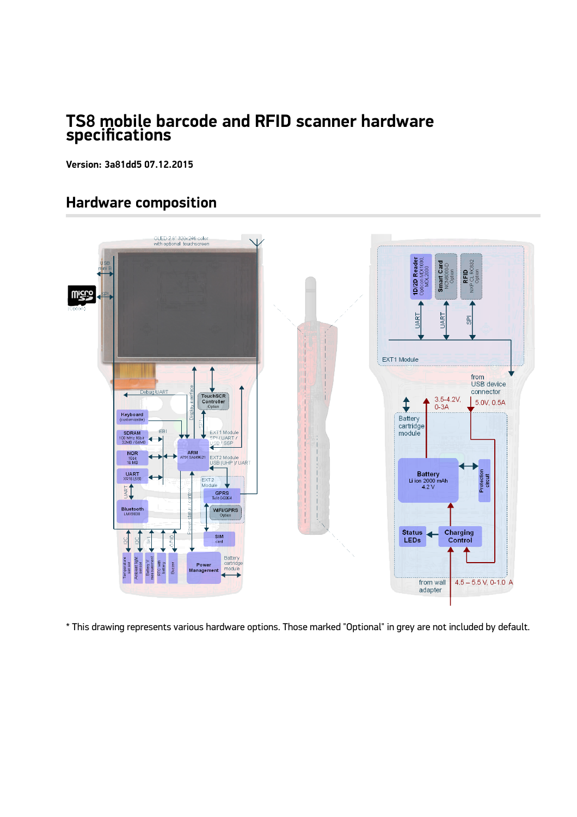#### **TS8 mobile barcode and RFID scanner hardware specifications**

**Version: 3a81dd5 07.12.2015**

### **Hardware composition**



\* This drawing represents various hardware options. Those marked "Optional" in grey are not included by default.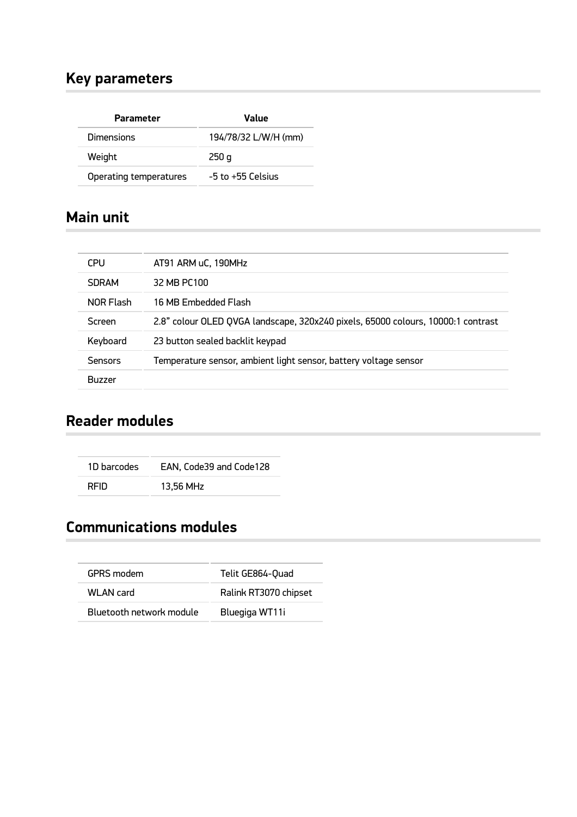### **Key parameters**

| <b>Parameter</b>       | Value                 |
|------------------------|-----------------------|
| Dimensions             | 194/78/32 L/W/H (mm)  |
| Weight                 | 250q                  |
| Operating temperatures | $-5$ to $+55$ Celsius |

#### **Main unit**

| <b>CPU</b>    | AT91 ARM uC, 190MHz                                                              |  |
|---------------|----------------------------------------------------------------------------------|--|
| <b>SDRAM</b>  | 32 MB PC100                                                                      |  |
| NOR Flash     | 16 MB Emhedded Flash                                                             |  |
| Screen        | 2.8" colour OLED QVGA landscape, 320x240 pixels, 65000 colours, 10000:1 contrast |  |
| Keyboard      | 23 button sealed backlit keypad                                                  |  |
| Sensors       | Temperature sensor, ambient light sensor, battery voltage sensor                 |  |
| <b>Buzzer</b> |                                                                                  |  |

## **Reader modules**

1D barcodes EAN, Code39 and Code128 RFID 13,56 MHz

# **Communications modules**

| <b>GPRS</b> modem        | Telit GE864-Quad      |
|--------------------------|-----------------------|
| WL AN card               | Ralink RT3070 chipset |
| Bluetooth network module | Bluegiga WT11i        |